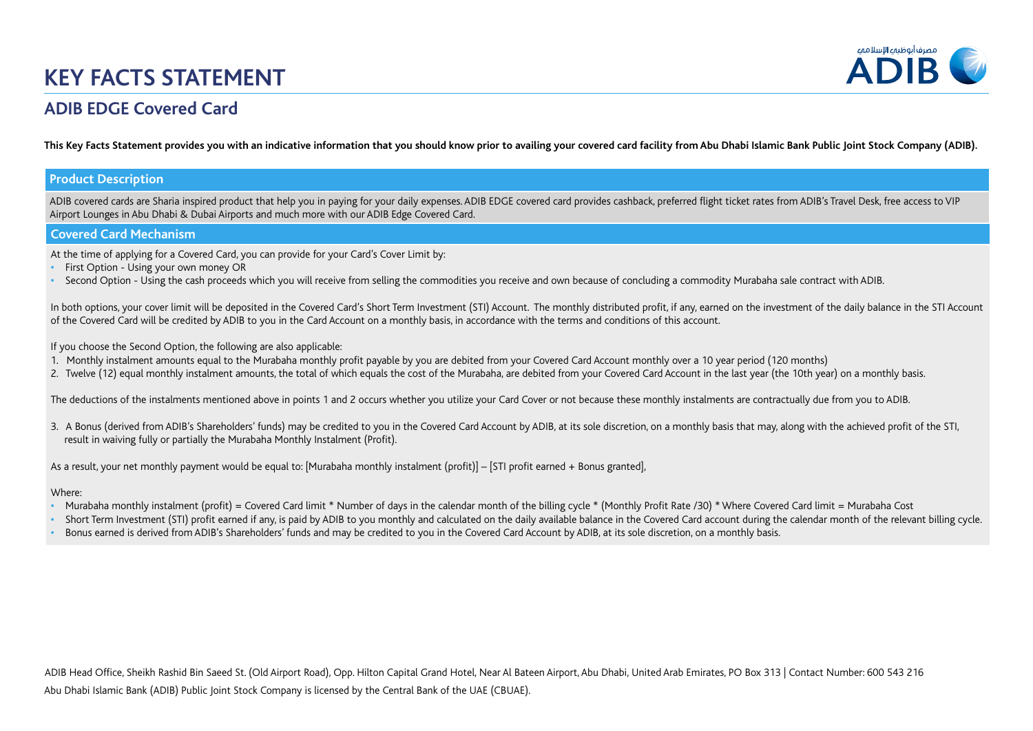# **KEY FACTS STATEMENT**



## **ADIB EDGE Covered Card**

**This Key Facts Statement provides you with an indicative information that you should know prior to availing your covered card facility from Abu Dhabi Islamic Bank Public Joint Stock Company (ADIB).**

### **Product Description**

ADIB covered cards are Sharia inspired product that help you in paying for your daily expenses. ADIB EDGE covered card provides cashback, preferred flight ticket rates from ADIB's Travel Desk, free access to VIP Airport Lounges in Abu Dhabi & Dubai Airports and much more with our ADIB Edge Covered Card.

#### **Covered Card Mechanism**

At the time of applying for a Covered Card, you can provide for your Card's Cover Limit by:

- **•** First Option Using your own money OR
- **•** Second Option Using the cash proceeds which you will receive from selling the commodities you receive and own because of concluding a commodity Murabaha sale contract with ADIB.

In both options, your cover limit will be deposited in the Covered Card's Short Term Investment (STI) Account. The monthly distributed profit, if any, earned on the investment of the daily balance in the STI Account of the Covered Card will be credited by ADIB to you in the Card Account on a monthly basis, in accordance with the terms and conditions of this account.

If you choose the Second Option, the following are also applicable:

- 1. Monthly instalment amounts equal to the Murabaha monthly profit payable by you are debited from your Covered Card Account monthly over a 10 year period (120 months)
- 2. Twelve (12) equal monthly instalment amounts, the total of which equals the cost of the Murabaha, are debited from your Covered Card Account in the last year (the 10th year) on a monthly basis.

The deductions of the instalments mentioned above in points 1 and 2 occurs whether you utilize your Card Cover or not because these monthly instalments are contractually due from you to ADIB.

3. A Bonus (derived from ADIB's Shareholders' funds) may be credited to you in the Covered Card Account by ADIB, at its sole discretion, on a monthly basis that may, along with the achieved profit of the STI, result in waiving fully or partially the Murabaha Monthly Instalment (Profit).

As a result, your net monthly payment would be equal to: [Murabaha monthly instalment (profit)] – [STI profit earned + Bonus granted],

#### Where:

- Murabaha monthly instalment (profit) = Covered Card limit \* Number of days in the calendar month of the billing cycle \* (Monthly Profit Rate /30) \* Where Covered Card limit = Murabaha Cost
- Short Term Investment (STI) profit earned if any, is paid by ADIB to you monthly and calculated on the daily available balance in the Covered Card account during the calendar month of the relevant billing cycle.
- Bonus earned is derived from ADIB's Shareholders' funds and may be credited to you in the Covered Card Account by ADIB, at its sole discretion, on a monthly basis.

Abu Dhabi Islamic Bank (ADIB) Public Joint Stock Company is licensed by the Central Bank of the UAE (CBUAE). ADIB Head Office, Sheikh Rashid Bin Saeed St. (Old Airport Road), Opp. Hilton Capital Grand Hotel, Near Al Bateen Airport, Abu Dhabi, United Arab Emirates, PO Box 313 | Contact Number: 600 543 216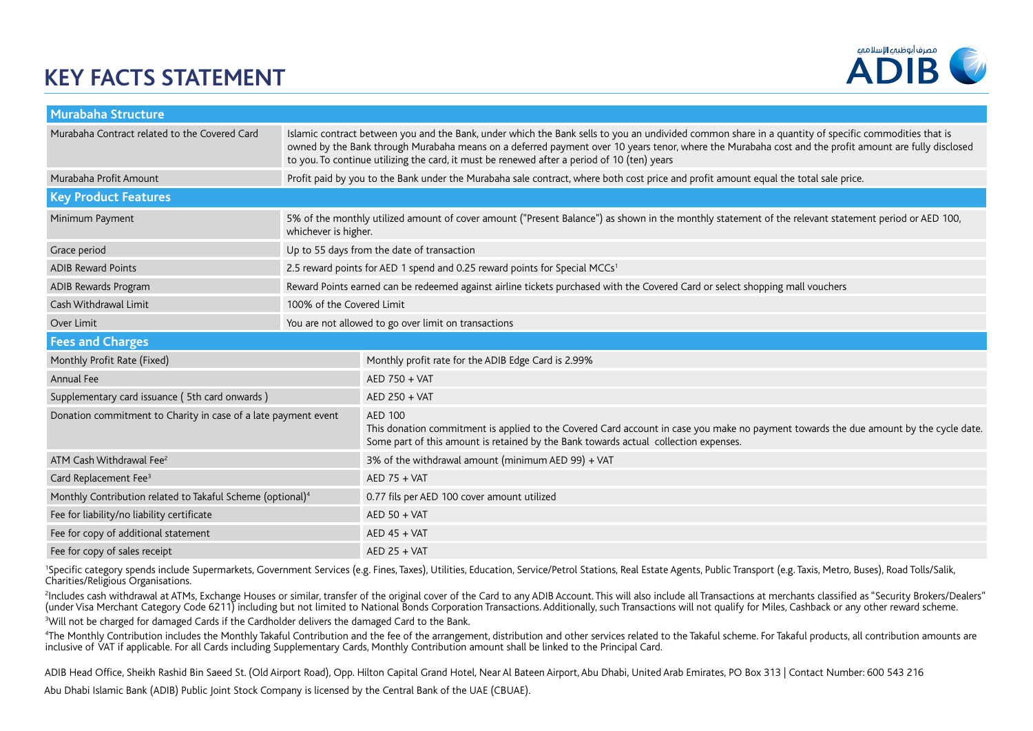# **KEY FACTS STATEMENT**



| <b>Murabaha Structure</b>                                              |                                                                                                                                                                              |                                                                                                                                                                                                                                                                                                                                                                                                              |  |  |  |  |
|------------------------------------------------------------------------|------------------------------------------------------------------------------------------------------------------------------------------------------------------------------|--------------------------------------------------------------------------------------------------------------------------------------------------------------------------------------------------------------------------------------------------------------------------------------------------------------------------------------------------------------------------------------------------------------|--|--|--|--|
| Murabaha Contract related to the Covered Card                          |                                                                                                                                                                              | Islamic contract between you and the Bank, under which the Bank sells to you an undivided common share in a quantity of specific commodities that is<br>owned by the Bank through Murabaha means on a deferred payment over 10 years tenor, where the Murabaha cost and the profit amount are fully disclosed<br>to you. To continue utilizing the card, it must be renewed after a period of 10 (ten) years |  |  |  |  |
| Murabaha Profit Amount                                                 | Profit paid by you to the Bank under the Murabaha sale contract, where both cost price and profit amount equal the total sale price.                                         |                                                                                                                                                                                                                                                                                                                                                                                                              |  |  |  |  |
| <b>Key Product Features</b>                                            |                                                                                                                                                                              |                                                                                                                                                                                                                                                                                                                                                                                                              |  |  |  |  |
| Minimum Payment                                                        | 5% of the monthly utilized amount of cover amount ("Present Balance") as shown in the monthly statement of the relevant statement period or AED 100,<br>whichever is higher. |                                                                                                                                                                                                                                                                                                                                                                                                              |  |  |  |  |
| Grace period                                                           | Up to 55 days from the date of transaction                                                                                                                                   |                                                                                                                                                                                                                                                                                                                                                                                                              |  |  |  |  |
| <b>ADIB Reward Points</b>                                              | 2.5 reward points for AED 1 spend and 0.25 reward points for Special MCCs <sup>1</sup>                                                                                       |                                                                                                                                                                                                                                                                                                                                                                                                              |  |  |  |  |
| ADIB Rewards Program                                                   | Reward Points earned can be redeemed against airline tickets purchased with the Covered Card or select shopping mall vouchers                                                |                                                                                                                                                                                                                                                                                                                                                                                                              |  |  |  |  |
| Cash Withdrawal Limit                                                  | 100% of the Covered Limit                                                                                                                                                    |                                                                                                                                                                                                                                                                                                                                                                                                              |  |  |  |  |
| Over Limit                                                             | You are not allowed to go over limit on transactions                                                                                                                         |                                                                                                                                                                                                                                                                                                                                                                                                              |  |  |  |  |
| <b>Fees and Charges</b>                                                |                                                                                                                                                                              |                                                                                                                                                                                                                                                                                                                                                                                                              |  |  |  |  |
|                                                                        |                                                                                                                                                                              |                                                                                                                                                                                                                                                                                                                                                                                                              |  |  |  |  |
| Monthly Profit Rate (Fixed)                                            |                                                                                                                                                                              | Monthly profit rate for the ADIB Edge Card is 2.99%                                                                                                                                                                                                                                                                                                                                                          |  |  |  |  |
| Annual Fee                                                             |                                                                                                                                                                              | AED 750 + VAT                                                                                                                                                                                                                                                                                                                                                                                                |  |  |  |  |
| Supplementary card issuance (5th card onwards)                         |                                                                                                                                                                              | AED 250 + VAT                                                                                                                                                                                                                                                                                                                                                                                                |  |  |  |  |
| Donation commitment to Charity in case of a late payment event         |                                                                                                                                                                              | <b>AED 100</b><br>This donation commitment is applied to the Covered Card account in case you make no payment towards the due amount by the cycle date.<br>Some part of this amount is retained by the Bank towards actual collection expenses.                                                                                                                                                              |  |  |  |  |
| ATM Cash Withdrawal Fee <sup>2</sup>                                   |                                                                                                                                                                              | 3% of the withdrawal amount (minimum AED 99) + VAT                                                                                                                                                                                                                                                                                                                                                           |  |  |  |  |
| Card Replacement Fee <sup>3</sup>                                      |                                                                                                                                                                              | $AED 75 + VAT$                                                                                                                                                                                                                                                                                                                                                                                               |  |  |  |  |
| Monthly Contribution related to Takaful Scheme (optional) <sup>4</sup> |                                                                                                                                                                              | 0.77 fils per AED 100 cover amount utilized                                                                                                                                                                                                                                                                                                                                                                  |  |  |  |  |
| Fee for liability/no liability certificate                             |                                                                                                                                                                              | $AED$ 50 + VAT                                                                                                                                                                                                                                                                                                                                                                                               |  |  |  |  |
| Fee for copy of additional statement                                   |                                                                                                                                                                              | $AED 45 + VAT$                                                                                                                                                                                                                                                                                                                                                                                               |  |  |  |  |

<sup>1</sup>Specific category spends include Supermarkets, Government Services (e.g. Fines, Taxes), Utilities, Education, Service/Petrol Stations, Real Estate Agents, Public Transport (e.g. Taxis, Metro, Buses), Road Tolls/Salik, Charities/Religious Organisations.

2 Includes cash withdrawal at ATMs, Exchange Houses or similar, transfer of the original cover of the Card to any ADIB Account. This will also include all Transactions at merchants classified as "Security Brokers/Dealers" (under Visa Merchant Category Code 6211) including but not limited to National Bonds Corporation Transactions. Additionally, such Transactions will not qualify for Miles, Cashback or any other reward scheme.  $^{\text{3}}$ Will not be charged for damaged Cards if the Cardholder delivers the damaged Card to the Bank.

4 The Monthly Contribution includes the Monthly Takaful Contribution and the fee of the arrangement, distribution and other services related to the Takaful scheme. For Takaful products, all contribution amounts are inclusive of VAT if applicable. For all Cards including Supplementary Cards, Monthly Contribution amount shall be linked to the Principal Card.

ADIB Head Office, Sheikh Rashid Bin Saeed St. (Old Airport Road), Opp. Hilton Capital Grand Hotel, Near Al Bateen Airport, Abu Dhabi, United Arab Emirates, PO Box 313 | Contact Number: 600 543 216

Abu Dhabi Islamic Bank (ADIB) Public Joint Stock Company is licensed by the Central Bank of the UAE (CBUAE).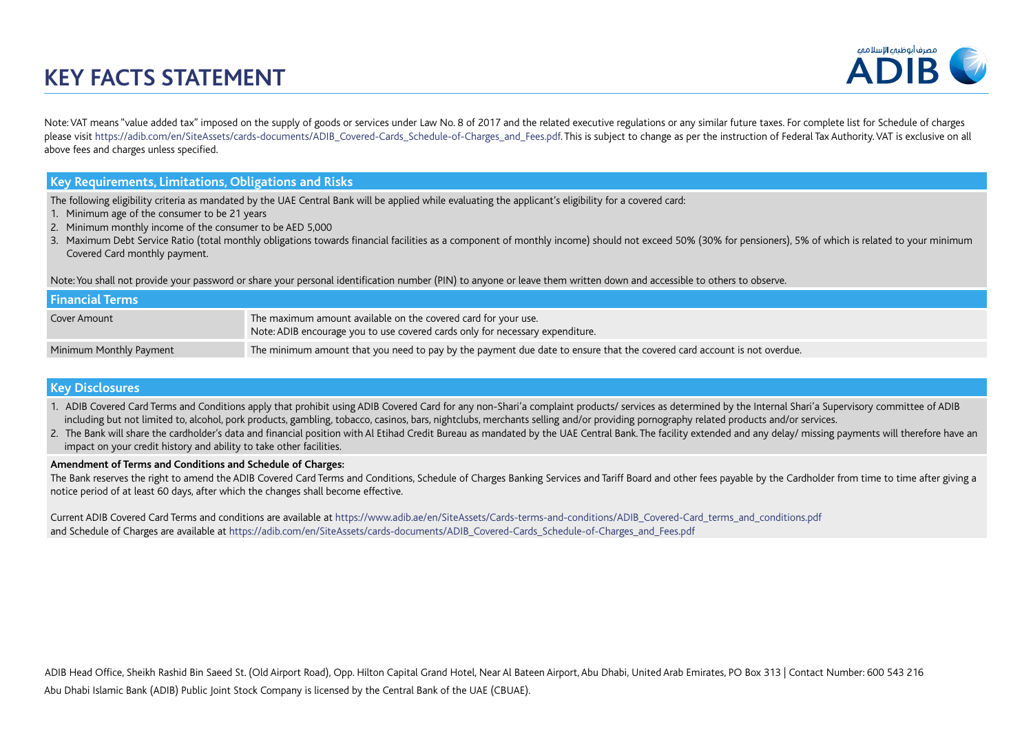# **KEY FACTS STATEMENT**



Note: VAT means "value added tax" imposed on the supply of goods or services under Law No. 8 of 2017 and the related executive regulations or any similar future taxes. For complete list for Schedule of charges please visit https://adib.com/en/SiteAssets/cards-documents/ADIB\_Covered-Cards\_Schedule-of-Charges\_and\_Fees.pdf. This is subject to change as per the instruction of Federal Tax Authority. VAT is exclusive on all above fees and charges unless specified.

### **Key Requirements, Limitations, Obligations and Risks**

The following eligibility criteria as mandated by the UAE Central Bank will be applied while evaluating the applicant's eligibility for a covered card:

- 1. Minimum age of the consumer to be 21 years
- 2. Minimum monthly income of the consumer to be AED 5,000
- 3. Maximum Debt Service Ratio (total monthly obligations towards financial facilities as a component of monthly income) should not exceed 50% (30% for pensioners), 5% of which is related to your minimum Covered Card monthly payment.

Note: You shall not provide your password or share your personal identification number (PIN) to anyone or leave them written down and accessible to others to observe.

| <b>Financial Terms</b>  |                                                                                                                                                 |  |  |  |  |
|-------------------------|-------------------------------------------------------------------------------------------------------------------------------------------------|--|--|--|--|
| Cover Amount            | The maximum amount available on the covered card for your use.<br>Note: ADIB encourage you to use covered cards only for necessary expenditure. |  |  |  |  |
| Minimum Monthly Payment | The minimum amount that you need to pay by the payment due date to ensure that the covered card account is not overdue.                         |  |  |  |  |

### **Key Disclosures**

- 1. ADIB Covered Card Terms and Conditions apply that prohibit using ADIB Covered Card for any non-Shari'a complaint products/ services as determined by the Internal Shari'a Supervisory committee of ADIB including but not limited to, alcohol, pork products, gambling, tobacco, casinos, bars, nightclubs, merchants selling and/or providing pornography related products and/or services.
- 2. The Bank will share the cardholder's data and financial position with Al Etihad Credit Bureau as mandated by the UAE Central Bank. The facility extended and any delay/ missing payments will therefore have an impact on your credit history and ability to take other facilities.

#### **Amendment of Terms and Conditions and Schedule of Charges:**

The Bank reserves the right to amend the ADIB Covered Card Terms and Conditions, Schedule of Charges Banking Services and Tariff Board and other fees payable by the Cardholder from time to time after giving a notice period of at least 60 days, after which the changes shall become effective.

Current ADIB Covered Card Terms and conditions are available at https://www.adib.ae/en/SiteAssets/Cards-terms-and-conditions/ADIB\_Covered-Card\_terms\_and\_conditions.pdf and Schedule of Charges are available at https://adib.com/en/SiteAssets/cards-documents/ADIB\_Covered-Cards\_Schedule-of-Charges\_and\_Fees.pdf

Abu Dhabi Islamic Bank (ADIB) Public Joint Stock Company is licensed by the Central Bank of the UAE (CBUAE). ADIB Head Office, Sheikh Rashid Bin Saeed St. (Old Airport Road), Opp. Hilton Capital Grand Hotel, Near Al Bateen Airport, Abu Dhabi, United Arab Emirates, PO Box 313 | Contact Number: 600 543 216